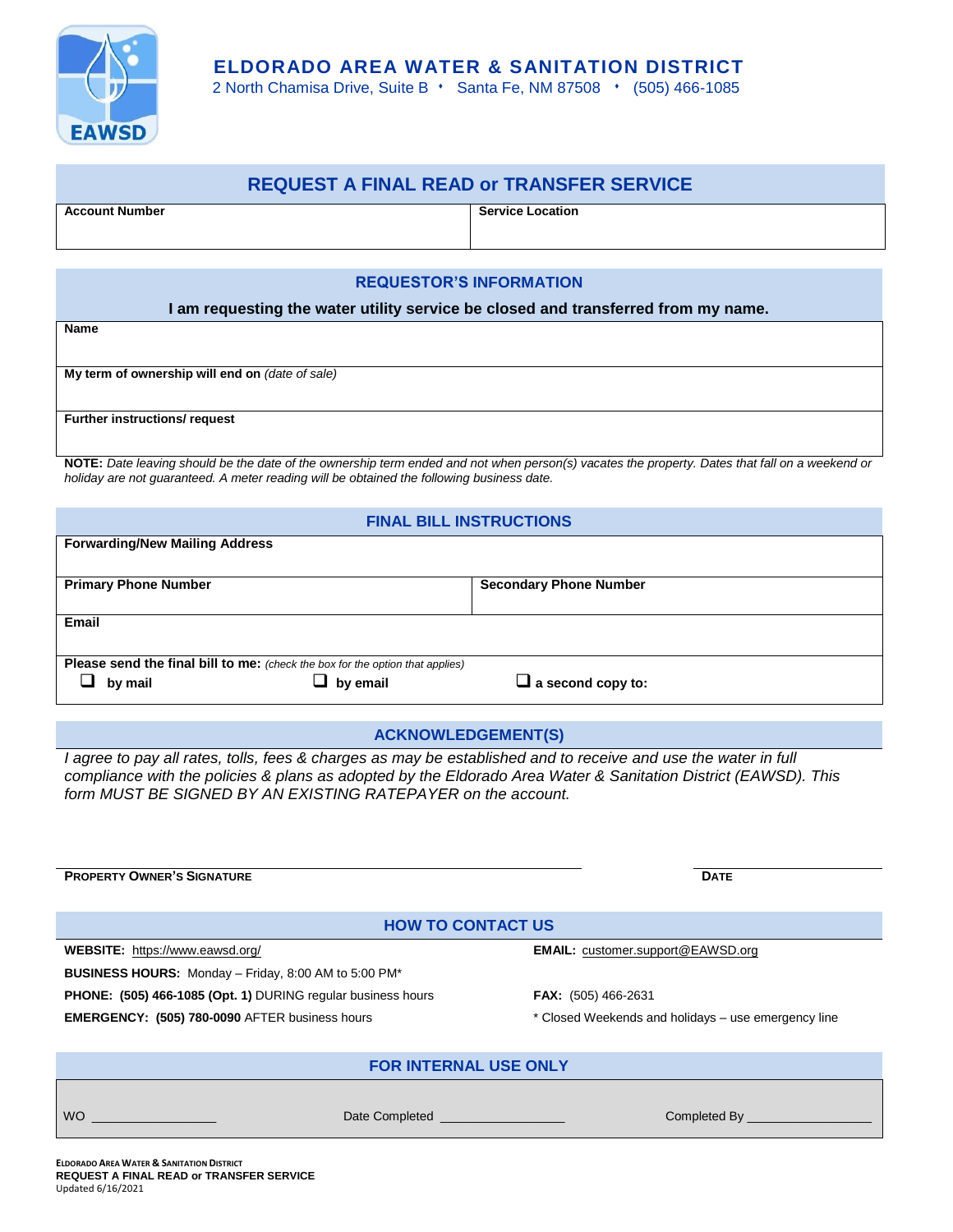

# **ELDORADO AREA WATER & SANITATION DISTRICT**

2 North Chamisa Drive, Suite B · Santa Fe, NM 87508 · (505) 466-1085

# **REQUEST A FINAL READ or TRANSFER SERVICE**

**Account Number Service Location**

## **REQUESTOR'S INFORMATION**

## **I am requesting the water utility service be closed and transferred from my name.**

| Name                                            |  |  |  |  |
|-------------------------------------------------|--|--|--|--|
|                                                 |  |  |  |  |
|                                                 |  |  |  |  |
| My term of ownership will end on (date of sale) |  |  |  |  |
|                                                 |  |  |  |  |
| <b>Further instructions/ request</b>            |  |  |  |  |
|                                                 |  |  |  |  |

**NOTE:** *Date leaving should be the date of the ownership term ended and not when person(s) vacates the property. Dates that fall on a weekend or holiday are not guaranteed. A meter reading will be obtained the following business date.*

## **FINAL BILL INSTRUCTIONS**

| <b>Forwarding/New Mailing Address</b>                                                |                             |                               |  |  |
|--------------------------------------------------------------------------------------|-----------------------------|-------------------------------|--|--|
|                                                                                      | <b>Primary Phone Number</b> | <b>Secondary Phone Number</b> |  |  |
| <b>Email</b>                                                                         |                             |                               |  |  |
| <b>Please send the final bill to me:</b> (check the box for the option that applies) |                             |                               |  |  |
| by mail                                                                              | $\Box$ by email             | $\Box$ a second copy to:      |  |  |

## **ACKNOWLEDGEMENT(S)**

*I agree to pay all rates, tolls, fees & charges as may be established and to receive and use the water in full compliance with the policies & plans as adopted by the Eldorado Area Water & Sanitation District (EAWSD). This form MUST BE SIGNED BY AN EXISTING RATEPAYER on the account.*

#### **PROPERTY OWNER'S SIGNATURE DATE**

## **HOW TO CONTACT US**

**WEBSITE:** <https://www.eawsd.org/> **EMAIL:** <customer.support@EAWSD.org> **BUSINESS HOURS:** Monday – Friday, 8:00 AM to 5:00 PM\* **PHONE: (505) 466-1085 (Opt. 1)** DURING regular business hours **FAX:** (505) 466-2631 **EMERGENCY: (505) 780-0090** AFTER business hours \* Closed Weekends and holidays – use emergency line

## **FOR INTERNAL USE ONLY**

WO \_\_\_\_\_\_\_\_\_\_\_\_\_\_\_\_\_\_ Date Completed \_\_\_\_\_\_\_\_\_\_\_\_\_\_\_\_\_\_ Completed By \_\_\_\_\_\_\_\_\_\_\_\_\_\_\_\_\_\_